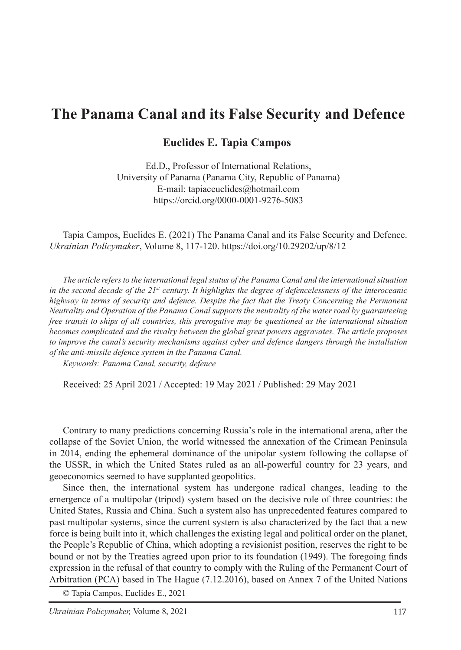## **The Panama Canal and its False Security and Defence**

## **Euclides E. Tapia Campos**

Ed.D., Professor of International Relations, University of Panama (Panama City, Republic of Panama) E-mail: tapiaceuclides@hotmail.com https://orcid.org/0000-0001-9276-5083

Tapia Campos, Euclides E. (2021) The Panama Canal and its False Security and Defence. *Ukrainian Policymaker*, Volume 8, 117-120. https://doi.org/10.29202/up/8/12

*The article refers to the international legal status of the Panama Canal and the international situation in the second decade of the 21st century. It highlights the degree of defencelessness of the interoceanic highway in terms of security and defence. Despite the fact that the Treaty Concerning the Permanent Neutrality and Operation of the Panama Canal supports the neutrality of the water road by guaranteeing free transit to ships of all countries, this prerogative may be questioned as the international situation becomes complicated and the rivalry between the global great powers aggravates. The article proposes to improve the canal's security mechanisms against cyber and defence dangers through the installation of the anti-missile defence system in the Panama Canal.*

*Keywords: Panama Canal, security, defence*

Received: 25 April 2021 / Accepted: 19 May 2021 / Published: 29 May 2021

Contrary to many predictions concerning Russia's role in the international arena, after the collapse of the Soviet Union, the world witnessed the annexation of the Crimean Peninsula in 2014, ending the ephemeral dominance of the unipolar system following the collapse of the USSR, in which the United States ruled as an all-powerful country for 23 years, and geoeconomics seemed to have supplanted geopolitics.

Since then, the international system has undergone radical changes, leading to the emergence of a multipolar (tripod) system based on the decisive role of three countries: the United States, Russia and China. Such a system also has unprecedented features compared to past multipolar systems, since the current system is also characterized by the fact that a new force is being built into it, which challenges the existing legal and political order on the planet, the People's Republic of China, which adopting a revisionist position, reserves the right to be bound or not by the Treaties agreed upon prior to its foundation (1949). The foregoing finds expression in the refusal of that country to comply with the Ruling of the Permanent Court of Arbitration (PCA) based in The Hague (7.12.2016), based on Annex 7 of the United Nations

© Tapia Campos, Euclides E., 2021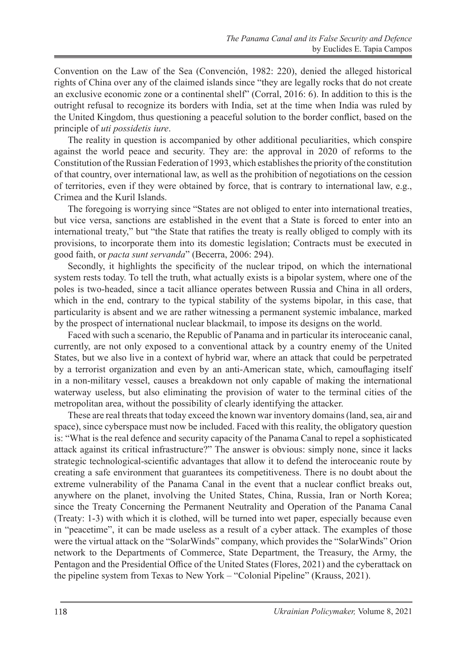Convention on the Law of the Sea (Convención, 1982: 220), denied the alleged historical rights of China over any of the claimed islands since "they are legally rocks that do not create an exclusive economic zone or a continental shelf" (Corral, 2016: 6). In addition to this is the outright refusal to recognize its borders with India, set at the time when India was ruled by the United Kingdom, thus questioning a peaceful solution to the border conflict, based on the principle of *uti possidetis iure*.

The reality in question is accompanied by other additional peculiarities, which conspire against the world peace and security. They are: the approval in 2020 of reforms to the Constitution of the Russian Federation of 1993, which establishes the priority of the constitution of that country, over international law, as well as the prohibition of negotiations on the cession of territories, even if they were obtained by force, that is contrary to international law, e.g., Crimea and the Kuril Islands.

The foregoing is worrying since "States are not obliged to enter into international treaties, but vice versa, sanctions are established in the event that a State is forced to enter into an international treaty," but "the State that ratifies the treaty is really obliged to comply with its provisions, to incorporate them into its domestic legislation; Contracts must be executed in good faith, or *pacta sunt servanda*" (Becerra, 2006: 294).

Secondly, it highlights the specificity of the nuclear tripod, on which the international system rests today. To tell the truth, what actually exists is a bipolar system, where one of the poles is two-headed, since a tacit alliance operates between Russia and China in all orders, which in the end, contrary to the typical stability of the systems bipolar, in this case, that particularity is absent and we are rather witnessing a permanent systemic imbalance, marked by the prospect of international nuclear blackmail, to impose its designs on the world.

Faced with such a scenario, the Republic of Panama and in particular its interoceanic canal, currently, are not only exposed to a conventional attack by a country enemy of the United States, but we also live in a context of hybrid war, where an attack that could be perpetrated by a terrorist organization and even by an anti-American state, which, camouflaging itself in a non-military vessel, causes a breakdown not only capable of making the international waterway useless, but also eliminating the provision of water to the terminal cities of the metropolitan area, without the possibility of clearly identifying the attacker.

These are real threats that today exceed the known war inventory domains (land, sea, air and space), since cyberspace must now be included. Faced with this reality, the obligatory question is: "What is the real defence and security capacity of the Panama Canal to repel a sophisticated attack against its critical infrastructure?" The answer is obvious: simply none, since it lacks strategic technological-scientific advantages that allow it to defend the interoceanic route by creating a safe environment that guarantees its competitiveness. There is no doubt about the extreme vulnerability of the Panama Canal in the event that a nuclear conflict breaks out, anywhere on the planet, involving the United States, China, Russia, Iran or North Korea; since the Treaty Concerning the Permanent Neutrality and Operation of the Panama Canal (Treaty: 1-3) with which it is clothed, will be turned into wet paper, especially because even in "peacetime", it can be made useless as a result of a cyber attack. The examples of those were the virtual attack on the "SolarWinds" company, which provides the "SolarWinds" Orion network to the Departments of Commerce, State Department, the Treasury, the Army, the Pentagon and the Presidential Office of the United States (Flores, 2021) and the cyberattack on the pipeline system from Texas to New York – "Colonial Pipeline" (Krauss, 2021).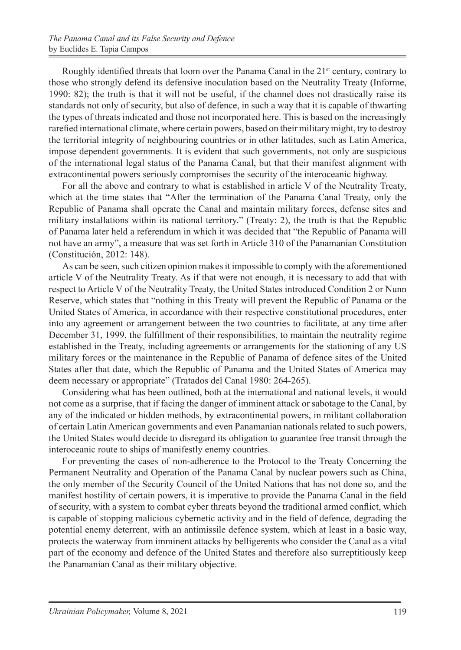Roughly identified threats that loom over the Panama Canal in the  $21<sup>st</sup>$  century, contrary to those who strongly defend its defensive inoculation based on the Neutrality Treaty (Informe, 1990: 82); the truth is that it will not be useful, if the channel does not drastically raise its standards not only of security, but also of defence, in such a way that it is capable of thwarting the types of threats indicated and those not incorporated here. This is based on the increasingly rarefied international climate, where certain powers, based on their military might, try to destroy the territorial integrity of neighbouring countries or in other latitudes, such as Latin America, impose dependent governments. It is evident that such governments, not only are suspicious of the international legal status of the Panama Canal, but that their manifest alignment with extracontinental powers seriously compromises the security of the interoceanic highway.

For all the above and contrary to what is established in article V of the Neutrality Treaty, which at the time states that "After the termination of the Panama Canal Treaty, only the Republic of Panama shall operate the Canal and maintain military forces, defense sites and military installations within its national territory." (Treaty: 2), the truth is that the Republic of Panama later held a referendum in which it was decided that "the Republic of Panama will not have an army", a measure that was set forth in Article 310 of the Panamanian Constitution (Constitución, 2012: 148).

As can be seen, such citizen opinion makes it impossible to comply with the aforementioned article V of the Neutrality Treaty. As if that were not enough, it is necessary to add that with respect to Article V of the Neutrality Treaty, the United States introduced Condition 2 or Nunn Reserve, which states that "nothing in this Treaty will prevent the Republic of Panama or the United States of America, in accordance with their respective constitutional procedures, enter into any agreement or arrangement between the two countries to facilitate, at any time after December 31, 1999, the fulfillment of their responsibilities, to maintain the neutrality regime established in the Treaty, including agreements or arrangements for the stationing of any US military forces or the maintenance in the Republic of Panama of defence sites of the United States after that date, which the Republic of Panama and the United States of America may deem necessary or appropriate" (Tratados del Canal 1980: 264-265).

Considering what has been outlined, both at the international and national levels, it would not come as a surprise, that if facing the danger of imminent attack or sabotage to the Canal, by any of the indicated or hidden methods, by extracontinental powers, in militant collaboration of certain Latin American governments and even Panamanian nationals related to such powers, the United States would decide to disregard its obligation to guarantee free transit through the interoceanic route to ships of manifestly enemy countries.

For preventing the cases of non-adherence to the Protocol to the Treaty Concerning the Permanent Neutrality and Operation of the Panama Canal by nuclear powers such as China, the only member of the Security Council of the United Nations that has not done so, and the manifest hostility of certain powers, it is imperative to provide the Panama Canal in the field of security, with a system to combat cyber threats beyond the traditional armed conflict, which is capable of stopping malicious cybernetic activity and in the field of defence, degrading the potential enemy deterrent, with an antimissile defence system, which at least in a basic way, protects the waterway from imminent attacks by belligerents who consider the Canal as a vital part of the economy and defence of the United States and therefore also surreptitiously keep the Panamanian Canal as their military objective.